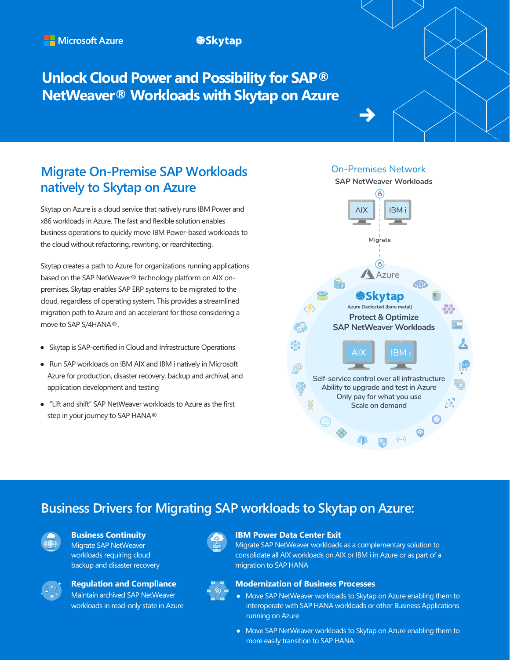### **SSkytap**

# **Unlock Cloud Power and Possibility for SAP® NetWeaver® Workloads with Skytap on Azure**

## **Migrate On-Premise SAP Workloads natively to Skytap on Azure**

Skytap on Azure is a cloud service that natively runs IBM Power and x86 workloads in Azure. The fast and flexible solution enables business operations to quickly move IBM Power-based workloads to the cloud without refactoring, rewriting, or rearchitecting.

Skytap creates a path to Azure for organizations running applications based on the SAP NetWeaver® technology platform on AIX onpremises. Skytap enables SAP ERP systems to be migrated to the cloud, regardless of operating system. This provides a streamlined migration path to Azure and an accelerant for those considering a move to SAP S/4HANA®.

- Skytap is SAP-certified in Cloud and Infrastructure Operations
- Run SAP workloads on IBM AIX and IBM i natively in Microsoft Azure for production, disaster recovery, backup and archival, and application development and testing
- "Lift and shift" SAP NetWeaver workloads to Azure as the first step in your journey to SAP HANA®

**On-Premises Network** 



# **Business Drivers for Migrating SAP workloads to Skytap on Azure:**



### **Business Continuity**

Migrate SAP NetWeaver workloads requiring cloud backup and disaster recovery



# **Regulation and Compliance**

Maintain archived SAP NetWeaver workloads in read-only state in Azure



#### **IBM Power Data Center Exit**

Migrate SAP NetWeaver workloads as a complementary solution to consolidate all AIX workloads on AIX or IBM i in Azure or as part of a migration to SAP HANA



#### **Modernization of Business Processes**

- Move SAP NetWeaver workloads to Skytap on Azure enabling them to interoperate with SAP HANA workloads or other Business Applications running on Azure
- Move SAP NetWeaver workloads to Skytap on Azure enabling them to more easily transition to SAP HANA